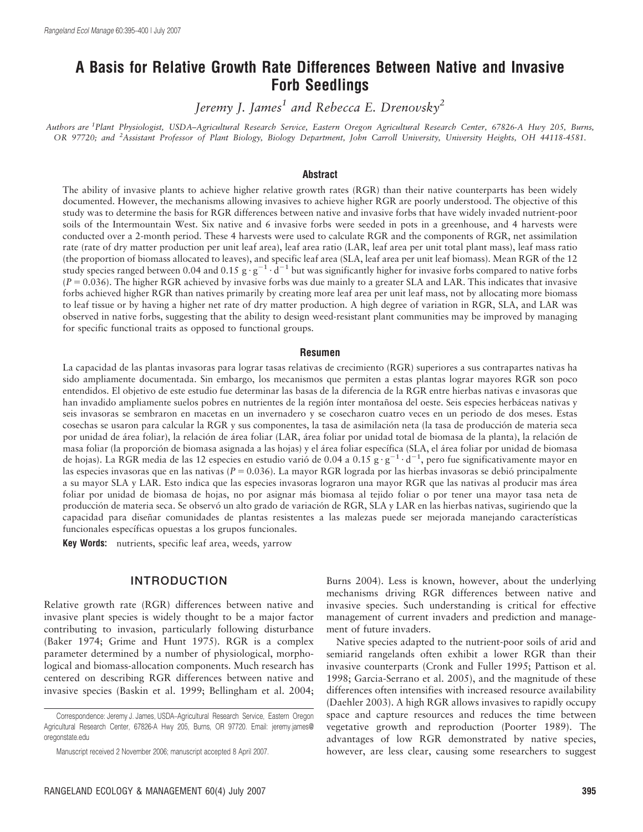# A Basis for Relative Growth Rate Differences Between Native and Invasive Forb Seedlings

Jeremy J. James<sup>1</sup> and Rebecca E. Drenovsky<sup>2</sup>

Authors are <sup>1</sup>Plant Physiologist, USDA-Agricultural Research Service, Eastern Oregon Agricultural Research Center, 67826-A Hwy 205, Burns, OR 97720; and <sup>2</sup>Assistant Professor of Plant Biology, Biology Department, John Carroll University, University Heights, OH 44118-4581.

#### Abstract

The ability of invasive plants to achieve higher relative growth rates (RGR) than their native counterparts has been widely documented. However, the mechanisms allowing invasives to achieve higher RGR are poorly understood. The objective of this study was to determine the basis for RGR differences between native and invasive forbs that have widely invaded nutrient-poor soils of the Intermountain West. Six native and 6 invasive forbs were seeded in pots in a greenhouse, and 4 harvests were conducted over a 2-month period. These 4 harvests were used to calculate RGR and the components of RGR, net assimilation rate (rate of dry matter production per unit leaf area), leaf area ratio (LAR, leaf area per unit total plant mass), leaf mass ratio (the proportion of biomass allocated to leaves), and specific leaf area (SLA, leaf area per unit leaf biomass). Mean RGR of the 12 study species ranged between 0.04 and 0.15 g $\cdot$  g<sup>-1</sup> $\cdot$  d<sup>-1</sup> but was significantly higher for invasive forbs compared to native forbs  $(P = 0.036)$ . The higher RGR achieved by invasive forbs was due mainly to a greater SLA and LAR. This indicates that invasive forbs achieved higher RGR than natives primarily by creating more leaf area per unit leaf mass, not by allocating more biomass to leaf tissue or by having a higher net rate of dry matter production. A high degree of variation in RGR, SLA, and LAR was observed in native forbs, suggesting that the ability to design weed-resistant plant communities may be improved by managing for specific functional traits as opposed to functional groups.

#### Resumen

La capacidad de las plantas invasoras para lograr tasas relativas de crecimiento (RGR) superiores a sus contrapartes nativas ha sido ampliamente documentada. Sin embargo, los mecanismos que permiten a estas plantas lograr mayores RGR son poco entendidos. El objetivo de este estudio fue determinar las basas de la diferencia de la RGR entre hierbas nativas e invasoras que han invadido ampliamente suelos pobres en nutrientes de la región ínter montañosa del oeste. Seis especies herbáceas nativas y seis invasoras se sembraron en macetas en un invernadero y se cosecharon cuatro veces en un periodo de dos meses. Estas cosechas se usaron para calcular la RGR y sus componentes, la tasa de asimilación neta (la tasa de producción de materia seca por unidad de área foliar), la relación de área foliar (LAR, área foliar por unidad total de biomasa de la planta), la relación de masa foliar (la proporción de biomasa asignada a las hojas) y el área foliar específica (SLA, el área foliar por unidad de biomasa de hojas). La RGR media de las 12 especies en estudio varió de 0.04 a 0.15 g $\cdot$  g<sup>-1</sup> $\cdot$  d<sup>-1</sup>, pero fue significativamente mayor en las especies invasoras que en las nativas ( $P = 0.036$ ). La mayor RGR lograda por las hierbas invasoras se debió principalmente a su mayor SLA y LAR. Esto indica que las especies invasoras lograron una mayor RGR que las nativas al producir mas área foliar por unidad de biomasa de hojas, no por asignar más biomasa al tejido foliar o por tener una mayor tasa neta de producción de materia seca. Se observó un alto grado de variación de RGR, SLA y LAR en las hierbas nativas, sugiriendo que la capacidad para diseñar comunidades de plantas resistentes a las malezas puede ser mejorada manejando características funcionales específicas opuestas a los grupos funcionales.

Key Words: nutrients, specific leaf area, weeds, yarrow

## INTRODUCTION

Relative growth rate (RGR) differences between native and invasive plant species is widely thought to be a major factor contributing to invasion, particularly following disturbance (Baker 1974; Grime and Hunt 1975). RGR is a complex parameter determined by a number of physiological, morphological and biomass-allocation components. Much research has centered on describing RGR differences between native and invasive species (Baskin et al. 1999; Bellingham et al. 2004;

Burns 2004). Less is known, however, about the underlying mechanisms driving RGR differences between native and invasive species. Such understanding is critical for effective management of current invaders and prediction and management of future invaders.

Native species adapted to the nutrient-poor soils of arid and semiarid rangelands often exhibit a lower RGR than their invasive counterparts (Cronk and Fuller 1995; Pattison et al. 1998; Garcia-Serrano et al. 2005), and the magnitude of these differences often intensifies with increased resource availability (Daehler 2003). A high RGR allows invasives to rapidly occupy space and capture resources and reduces the time between vegetative growth and reproduction (Poorter 1989). The advantages of low RGR demonstrated by native species, however, are less clear, causing some researchers to suggest

Correspondence: Jeremy J. James, USDA–Agricultural Research Service, Eastern Oregon Agricultural Research Center, 67826-A Hwy 205, Burns, OR 97720. Email: jeremy.james@ oregonstate.edu

Manuscript received 2 November 2006; manuscript accepted 8 April 2007.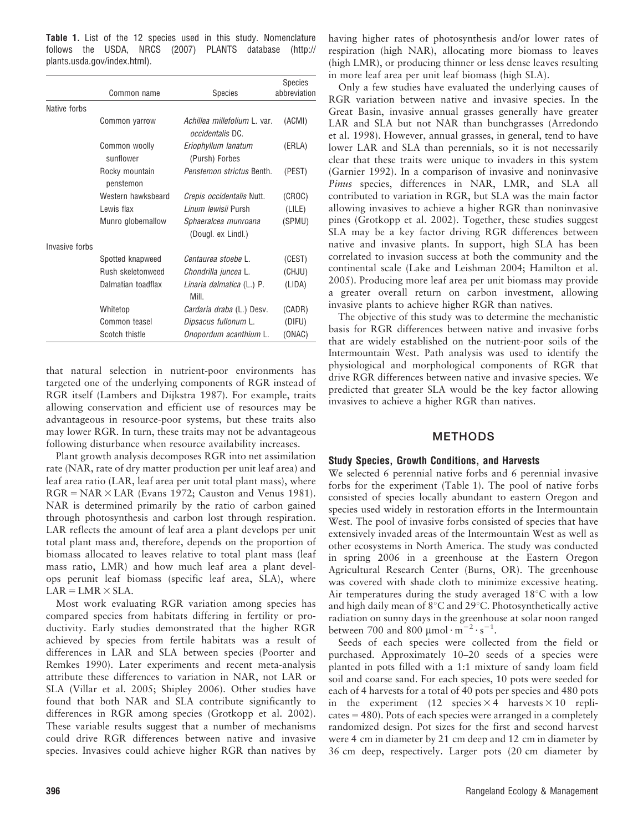Table 1. List of the 12 species used in this study. Nomenclature follows the USDA, NRCS (2007) PLANTS database (http:// plants.usda.gov/index.html).

|                | Common name                 | <b>Species</b>                                          | <b>Species</b><br>abbreviation |
|----------------|-----------------------------|---------------------------------------------------------|--------------------------------|
| Native forbs   |                             |                                                         |                                |
|                | Common yarrow               | Achillea millefolium L. var.<br><i>occidentalis</i> DC. | (ACMI)                         |
|                | Common woolly<br>sunflower  | Eriophyllum lanatum<br>(Pursh) Forbes                   | (ERLA)                         |
|                | Rocky mountain<br>penstemon | Penstemon strictus Benth.                               | (PEST)                         |
|                | Western hawksheard          | <i>Crepis occidentalis</i> Nutt.                        | (CROC)                         |
|                | Lewis flax                  | <i>I inum Iewisii</i> Pursh                             | (LILE)                         |
|                | Munro globemallow           | Sphaeralcea munroana<br>(Dougl. ex Lindl.)              | (SPMU)                         |
| Invasive forbs |                             |                                                         |                                |
|                | Spotted knapweed            | Centaurea stoebe L.                                     | (CEST)                         |
|                | Rush skeletonweed           | Chondrilla juncea L.                                    | (CHJU)                         |
|                | Dalmatian toadflax          | Linaria dalmatica (L.) P.<br>Mill.                      | (LIDA)                         |
|                | Whitetop                    | <i>Cardaria draba</i> (L.) Desv.                        | (CADR)                         |
|                | Common teasel               | Dipsacus fullonum L.                                    | (DIFU)                         |
|                | Scotch thistle              | Onopordum acanthium L.                                  | (ONAC)                         |

that natural selection in nutrient-poor environments has targeted one of the underlying components of RGR instead of RGR itself (Lambers and Dijkstra 1987). For example, traits allowing conservation and efficient use of resources may be advantageous in resource-poor systems, but these traits also may lower RGR. In turn, these traits may not be advantageous following disturbance when resource availability increases.

Plant growth analysis decomposes RGR into net assimilation rate (NAR, rate of dry matter production per unit leaf area) and leaf area ratio (LAR, leaf area per unit total plant mass), where  $RGR = NAR \times LAR$  (Evans 1972; Causton and Venus 1981). NAR is determined primarily by the ratio of carbon gained through photosynthesis and carbon lost through respiration. LAR reflects the amount of leaf area a plant develops per unit total plant mass and, therefore, depends on the proportion of biomass allocated to leaves relative to total plant mass (leaf mass ratio, LMR) and how much leaf area a plant develops perunit leaf biomass (specific leaf area, SLA), where  $LAR = LMR \times SLA$ .

Most work evaluating RGR variation among species has compared species from habitats differing in fertility or productivity. Early studies demonstrated that the higher RGR achieved by species from fertile habitats was a result of differences in LAR and SLA between species (Poorter and Remkes 1990). Later experiments and recent meta-analysis attribute these differences to variation in NAR, not LAR or SLA (Villar et al. 2005; Shipley 2006). Other studies have found that both NAR and SLA contribute significantly to differences in RGR among species (Grotkopp et al. 2002). These variable results suggest that a number of mechanisms could drive RGR differences between native and invasive species. Invasives could achieve higher RGR than natives by

having higher rates of photosynthesis and/or lower rates of respiration (high NAR), allocating more biomass to leaves (high LMR), or producing thinner or less dense leaves resulting in more leaf area per unit leaf biomass (high SLA).

Only a few studies have evaluated the underlying causes of RGR variation between native and invasive species. In the Great Basin, invasive annual grasses generally have greater LAR and SLA but not NAR than bunchgrasses (Arredondo et al. 1998). However, annual grasses, in general, tend to have lower LAR and SLA than perennials, so it is not necessarily clear that these traits were unique to invaders in this system (Garnier 1992). In a comparison of invasive and noninvasive Pinus species, differences in NAR, LMR, and SLA all contributed to variation in RGR, but SLA was the main factor allowing invasives to achieve a higher RGR than noninvasive pines (Grotkopp et al. 2002). Together, these studies suggest SLA may be a key factor driving RGR differences between native and invasive plants. In support, high SLA has been correlated to invasion success at both the community and the continental scale (Lake and Leishman 2004; Hamilton et al. 2005). Producing more leaf area per unit biomass may provide a greater overall return on carbon investment, allowing invasive plants to achieve higher RGR than natives.

The objective of this study was to determine the mechanistic basis for RGR differences between native and invasive forbs that are widely established on the nutrient-poor soils of the Intermountain West. Path analysis was used to identify the physiological and morphological components of RGR that drive RGR differences between native and invasive species. We predicted that greater SLA would be the key factor allowing invasives to achieve a higher RGR than natives.

## METHODS

## Study Species, Growth Conditions, and Harvests

We selected 6 perennial native forbs and 6 perennial invasive forbs for the experiment (Table 1). The pool of native forbs consisted of species locally abundant to eastern Oregon and species used widely in restoration efforts in the Intermountain West. The pool of invasive forbs consisted of species that have extensively invaded areas of the Intermountain West as well as other ecosystems in North America. The study was conducted in spring 2006 in a greenhouse at the Eastern Oregon Agricultural Research Center (Burns, OR). The greenhouse was covered with shade cloth to minimize excessive heating. Air temperatures during the study averaged  $18^{\circ}$ C with a low and high daily mean of  $8^{\circ}$ C and  $29^{\circ}$ C. Photosynthetically active radiation on sunny days in the greenhouse at solar noon ranged between 700 and 800  $\mu$ mol  $\cdot$  m<sup>-2</sup> $\cdot$ s<sup>-1</sup>.

Seeds of each species were collected from the field or purchased. Approximately 10–20 seeds of a species were planted in pots filled with a 1:1 mixture of sandy loam field soil and coarse sand. For each species, 10 pots were seeded for each of 4 harvests for a total of 40 pots per species and 480 pots in the experiment (12 species  $\times$  4 harvests  $\times$  10 repli- $\text{cases} = 480$ ). Pots of each species were arranged in a completely randomized design. Pot sizes for the first and second harvest were 4 cm in diameter by 21 cm deep and 12 cm in diameter by 36 cm deep, respectively. Larger pots (20 cm diameter by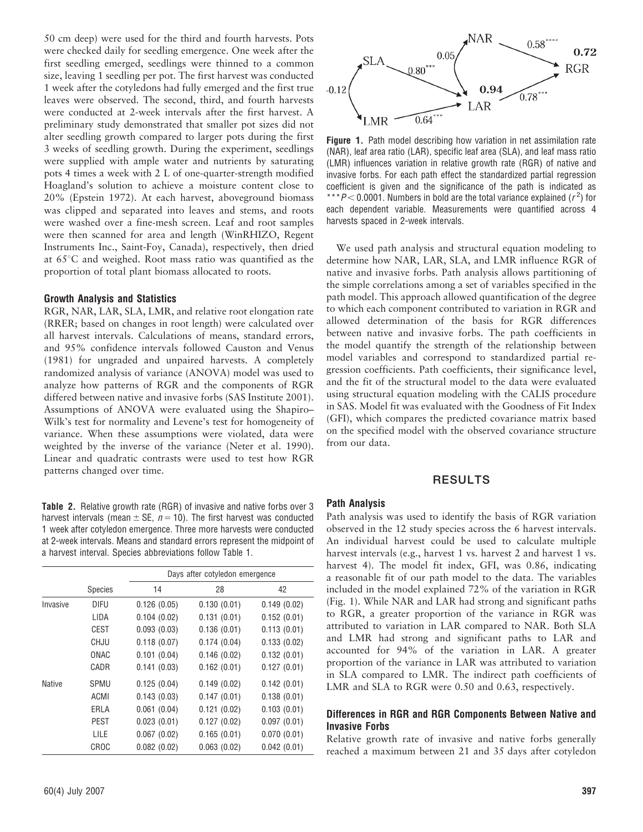50 cm deep) were used for the third and fourth harvests. Pots were checked daily for seedling emergence. One week after the first seedling emerged, seedlings were thinned to a common size, leaving 1 seedling per pot. The first harvest was conducted 1 week after the cotyledons had fully emerged and the first true leaves were observed. The second, third, and fourth harvests were conducted at 2-week intervals after the first harvest. A preliminary study demonstrated that smaller pot sizes did not alter seedling growth compared to larger pots during the first 3 weeks of seedling growth. During the experiment, seedlings were supplied with ample water and nutrients by saturating pots 4 times a week with 2 L of one-quarter-strength modified Hoagland's solution to achieve a moisture content close to 20% (Epstein 1972). At each harvest, aboveground biomass was clipped and separated into leaves and stems, and roots were washed over a fine-mesh screen. Leaf and root samples were then scanned for area and length (WinRHIZO, Regent Instruments Inc., Saint-Foy, Canada), respectively, then dried at  $65^{\circ}$ C and weighed. Root mass ratio was quantified as the proportion of total plant biomass allocated to roots.

#### Growth Analysis and Statistics

RGR, NAR, LAR, SLA, LMR, and relative root elongation rate (RRER; based on changes in root length) were calculated over all harvest intervals. Calculations of means, standard errors, and 95% confidence intervals followed Causton and Venus (1981) for ungraded and unpaired harvests. A completely randomized analysis of variance (ANOVA) model was used to analyze how patterns of RGR and the components of RGR differed between native and invasive forbs (SAS Institute 2001). Assumptions of ANOVA were evaluated using the Shapiro– Wilk's test for normality and Levene's test for homogeneity of variance. When these assumptions were violated, data were weighted by the inverse of the variance (Neter et al. 1990). Linear and quadratic contrasts were used to test how RGR patterns changed over time.

Table 2. Relative growth rate (RGR) of invasive and native forbs over 3 harvest intervals (mean  $\pm$  SE,  $n = 10$ ). The first harvest was conducted 1 week after cotyledon emergence. Three more harvests were conducted at 2-week intervals. Means and standard errors represent the midpoint of a harvest interval. Species abbreviations follow Table 1.

|          |                |             | Days after cotyledon emergence |             |  |  |
|----------|----------------|-------------|--------------------------------|-------------|--|--|
|          | <b>Species</b> | 14          | 28                             | 42          |  |  |
| Invasive | DIFU           | 0.126(0.05) | 0.130(0.01)                    | 0.149(0.02) |  |  |
|          | LIDA           | 0.104(0.02) | 0.131(0.01)                    | 0.152(0.01) |  |  |
|          | CEST           | 0.093(0.03) | 0.136(0.01)                    | 0.113(0.01) |  |  |
|          | CHJU           | 0.118(0.07) | 0.174(0.04)                    | 0.133(0.02) |  |  |
|          | ONAC           | 0.101(0.04) | 0.146(0.02)                    | 0.132(0.01) |  |  |
|          | CADR           | 0.141(0.03) | 0.162(0.01)                    | 0.127(0.01) |  |  |
| Native   | SPMU           | 0.125(0.04) | 0.149(0.02)                    | 0.142(0.01) |  |  |
|          | ACMI           | 0.143(0.03) | 0.147(0.01)                    | 0.138(0.01) |  |  |
|          | ERLA           | 0.061(0.04) | 0.121(0.02)                    | 0.103(0.01) |  |  |
|          | PEST           | 0.023(0.01) | 0.127(0.02)                    | 0.097(0.01) |  |  |
|          | LILE           | 0.067(0.02) | 0.165(0.01)                    | 0.070(0.01) |  |  |
|          | CROC           | 0.082(0.02) | 0.063(0.02)                    | 0.042(0.01) |  |  |



Figure 1. Path model describing how variation in net assimilation rate (NAR), leaf area ratio (LAR), specific leaf area (SLA), and leaf mass ratio (LMR) influences variation in relative growth rate (RGR) of native and invasive forbs. For each path effect the standardized partial regression coefficient is given and the significance of the path is indicated as \*\*\*  $P$  < 0.0001. Numbers in bold are the total variance explained ( $r^2$ ) for each dependent variable. Measurements were quantified across 4 harvests spaced in 2-week intervals.

We used path analysis and structural equation modeling to determine how NAR, LAR, SLA, and LMR influence RGR of native and invasive forbs. Path analysis allows partitioning of the simple correlations among a set of variables specified in the path model. This approach allowed quantification of the degree to which each component contributed to variation in RGR and allowed determination of the basis for RGR differences between native and invasive forbs. The path coefficients in the model quantify the strength of the relationship between model variables and correspond to standardized partial regression coefficients. Path coefficients, their significance level, and the fit of the structural model to the data were evaluated using structural equation modeling with the CALIS procedure in SAS. Model fit was evaluated with the Goodness of Fit Index (GFI), which compares the predicted covariance matrix based on the specified model with the observed covariance structure from our data.

## RESULTS

#### Path Analysis

Path analysis was used to identify the basis of RGR variation observed in the 12 study species across the 6 harvest intervals. An individual harvest could be used to calculate multiple harvest intervals (e.g., harvest 1 vs. harvest 2 and harvest 1 vs. harvest 4). The model fit index, GFI, was 0.86, indicating a reasonable fit of our path model to the data. The variables included in the model explained 72% of the variation in RGR (Fig. 1). While NAR and LAR had strong and significant paths to RGR, a greater proportion of the variance in RGR was attributed to variation in LAR compared to NAR. Both SLA and LMR had strong and significant paths to LAR and accounted for 94% of the variation in LAR. A greater proportion of the variance in LAR was attributed to variation in SLA compared to LMR. The indirect path coefficients of LMR and SLA to RGR were 0.50 and 0.63, respectively.

## Differences in RGR and RGR Components Between Native and Invasive Forbs

Relative growth rate of invasive and native forbs generally reached a maximum between 21 and 35 days after cotyledon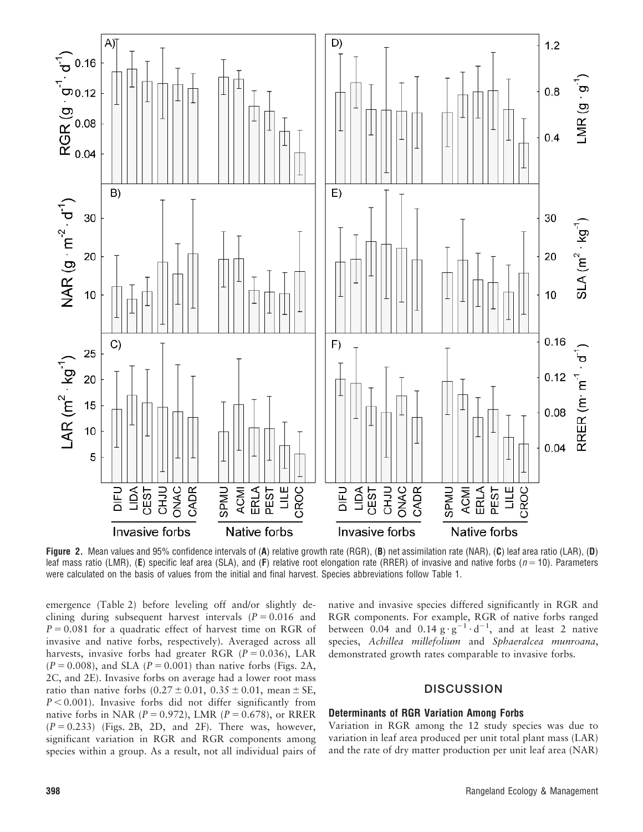

Figure 2. Mean values and 95% confidence intervals of (A) relative growth rate (RGR), (B) net assimilation rate (NAR), (C) leaf area ratio (LAR), (D) leaf mass ratio (LMR), (E) specific leaf area (SLA), and (F) relative root elongation rate (RRER) of invasive and native forbs ( $n = 10$ ). Parameters were calculated on the basis of values from the initial and final harvest. Species abbreviations follow Table 1.

emergence (Table 2) before leveling off and/or slightly declining during subsequent harvest intervals  $(P = 0.016$  and  $P = 0.081$  for a quadratic effect of harvest time on RGR of invasive and native forbs, respectively). Averaged across all harvests, invasive forbs had greater RGR ( $P = 0.036$ ), LAR  $(P = 0.008)$ , and SLA  $(P = 0.001)$  than native forbs (Figs. 2A, 2C, and 2E). Invasive forbs on average had a lower root mass ratio than native forbs  $(0.27 \pm 0.01, 0.35 \pm 0.01, \text{mean} \pm \text{SE},$  $P < 0.001$ ). Invasive forbs did not differ significantly from native forbs in NAR ( $P = 0.972$ ), LMR ( $P = 0.678$ ), or RRER  $(P = 0.233)$  (Figs. 2B, 2D, and 2F). There was, however, significant variation in RGR and RGR components among species within a group. As a result, not all individual pairs of

native and invasive species differed significantly in RGR and RGR components. For example, RGR of native forbs ranged between 0.04 and 0.14  $g \cdot g^{-1} \cdot d^{-1}$ , and at least 2 native species, Achillea millefolium and Sphaeralcea munroana, demonstrated growth rates comparable to invasive forbs.

# **DISCUSSION**

### Determinants of RGR Variation Among Forbs

Variation in RGR among the 12 study species was due to variation in leaf area produced per unit total plant mass (LAR) and the rate of dry matter production per unit leaf area (NAR)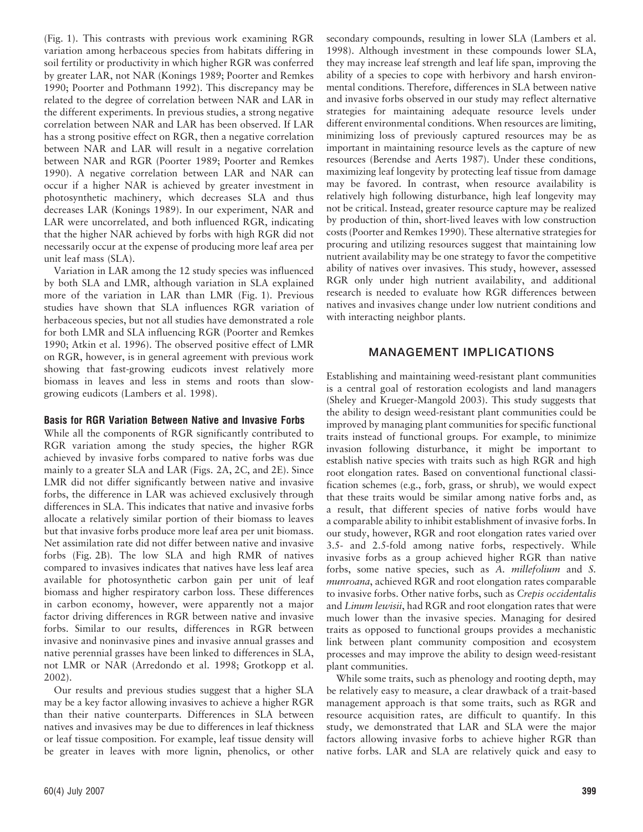(Fig. 1). This contrasts with previous work examining RGR variation among herbaceous species from habitats differing in soil fertility or productivity in which higher RGR was conferred by greater LAR, not NAR (Konings 1989; Poorter and Remkes 1990; Poorter and Pothmann 1992). This discrepancy may be related to the degree of correlation between NAR and LAR in the different experiments. In previous studies, a strong negative correlation between NAR and LAR has been observed. If LAR has a strong positive effect on RGR, then a negative correlation between NAR and LAR will result in a negative correlation between NAR and RGR (Poorter 1989; Poorter and Remkes 1990). A negative correlation between LAR and NAR can occur if a higher NAR is achieved by greater investment in photosynthetic machinery, which decreases SLA and thus decreases LAR (Konings 1989). In our experiment, NAR and LAR were uncorrelated, and both influenced RGR, indicating that the higher NAR achieved by forbs with high RGR did not necessarily occur at the expense of producing more leaf area per unit leaf mass (SLA).

Variation in LAR among the 12 study species was influenced by both SLA and LMR, although variation in SLA explained more of the variation in LAR than LMR (Fig. 1). Previous studies have shown that SLA influences RGR variation of herbaceous species, but not all studies have demonstrated a role for both LMR and SLA influencing RGR (Poorter and Remkes 1990; Atkin et al. 1996). The observed positive effect of LMR on RGR, however, is in general agreement with previous work showing that fast-growing eudicots invest relatively more biomass in leaves and less in stems and roots than slowgrowing eudicots (Lambers et al. 1998).

## Basis for RGR Variation Between Native and Invasive Forbs

While all the components of RGR significantly contributed to RGR variation among the study species, the higher RGR achieved by invasive forbs compared to native forbs was due mainly to a greater SLA and LAR (Figs. 2A, 2C, and 2E). Since LMR did not differ significantly between native and invasive forbs, the difference in LAR was achieved exclusively through differences in SLA. This indicates that native and invasive forbs allocate a relatively similar portion of their biomass to leaves but that invasive forbs produce more leaf area per unit biomass. Net assimilation rate did not differ between native and invasive forbs (Fig. 2B). The low SLA and high RMR of natives compared to invasives indicates that natives have less leaf area available for photosynthetic carbon gain per unit of leaf biomass and higher respiratory carbon loss. These differences in carbon economy, however, were apparently not a major factor driving differences in RGR between native and invasive forbs. Similar to our results, differences in RGR between invasive and noninvasive pines and invasive annual grasses and native perennial grasses have been linked to differences in SLA, not LMR or NAR (Arredondo et al. 1998; Grotkopp et al. 2002).

Our results and previous studies suggest that a higher SLA may be a key factor allowing invasives to achieve a higher RGR than their native counterparts. Differences in SLA between natives and invasives may be due to differences in leaf thickness or leaf tissue composition. For example, leaf tissue density will be greater in leaves with more lignin, phenolics, or other

secondary compounds, resulting in lower SLA (Lambers et al. 1998). Although investment in these compounds lower SLA, they may increase leaf strength and leaf life span, improving the ability of a species to cope with herbivory and harsh environmental conditions. Therefore, differences in SLA between native and invasive forbs observed in our study may reflect alternative strategies for maintaining adequate resource levels under different environmental conditions. When resources are limiting, minimizing loss of previously captured resources may be as important in maintaining resource levels as the capture of new resources (Berendse and Aerts 1987). Under these conditions, maximizing leaf longevity by protecting leaf tissue from damage may be favored. In contrast, when resource availability is relatively high following disturbance, high leaf longevity may not be critical. Instead, greater resource capture may be realized by production of thin, short-lived leaves with low construction costs (Poorter and Remkes 1990). These alternative strategies for procuring and utilizing resources suggest that maintaining low nutrient availability may be one strategy to favor the competitive ability of natives over invasives. This study, however, assessed RGR only under high nutrient availability, and additional research is needed to evaluate how RGR differences between natives and invasives change under low nutrient conditions and with interacting neighbor plants.

# MANAGEMENT IMPLICATIONS

Establishing and maintaining weed-resistant plant communities is a central goal of restoration ecologists and land managers (Sheley and Krueger-Mangold 2003). This study suggests that the ability to design weed-resistant plant communities could be improved by managing plant communities for specific functional traits instead of functional groups. For example, to minimize invasion following disturbance, it might be important to establish native species with traits such as high RGR and high root elongation rates. Based on conventional functional classification schemes (e.g., forb, grass, or shrub), we would expect that these traits would be similar among native forbs and, as a result, that different species of native forbs would have a comparable ability to inhibit establishment of invasive forbs. In our study, however, RGR and root elongation rates varied over 3.5- and 2.5-fold among native forbs, respectively. While invasive forbs as a group achieved higher RGR than native forbs, some native species, such as A. millefolium and S. munroana, achieved RGR and root elongation rates comparable to invasive forbs. Other native forbs, such as Crepis occidentalis and Linum lewisii, had RGR and root elongation rates that were much lower than the invasive species. Managing for desired traits as opposed to functional groups provides a mechanistic link between plant community composition and ecosystem processes and may improve the ability to design weed-resistant plant communities.

While some traits, such as phenology and rooting depth, may be relatively easy to measure, a clear drawback of a trait-based management approach is that some traits, such as RGR and resource acquisition rates, are difficult to quantify. In this study, we demonstrated that LAR and SLA were the major factors allowing invasive forbs to achieve higher RGR than native forbs. LAR and SLA are relatively quick and easy to